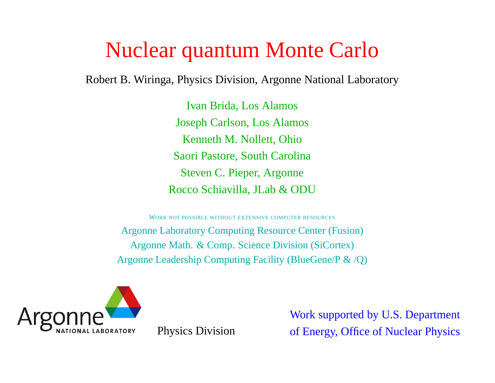# Nuclear quantum Monte Carlo

Robert B. Wiringa, Physics Division, Argonne National Laboratory

Ivan Brida, Los Alamos Joseph Carlson, Los Alamos Kenneth M. Nollett, Ohio Saori Pastore, South Carolina Steven C. Pieper, Argonne Rocco Schiavilla, JLab & ODU

WORK NOT POSSIBLE WITHOUT EXTENSIVE COMPUTER RESOURCES Argonne Laboratory Computing Resource Center (Fusion) Argonne Math. & Comp. Science Division (SiCortex) Argonne Leadership Computing Facility (BlueGene/P & /Q)



Work supported by U.S. Department Physics Division of Energy, Office of Nuclear Physics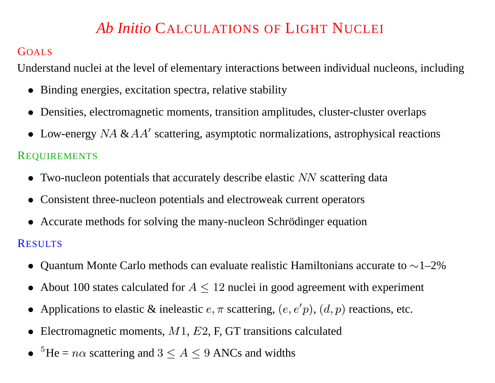# *Ab Initio* CALCULATIONS OF LIGHT NUCLEI

#### GOALS

Understand nuclei at the level of elementary interactions between individual nucleons, including

- Binding energies, excitation spectra, relative stability
- Densities, electromagnetic moments, transition amplitudes, cluster-cluster overlaps
- Low-energy  $NA \& AA'$  scattering, asymptotic normalizations, astrophysical reactions

#### REQUIREMENTS

- Two-nucleon potentials that accurately describe elastic NN scattering data
- Consistent three-nucleon potentials and electroweak current operators
- Accurate methods for solving the many-nucleon Schrödinger equation

#### RESULTS

- Quantum Monte Carlo methods can evaluate realistic Hamiltonians accurate to <sup>∼</sup>1–2%
- About 100 states calculated for  $A \le 12$  nuclei in good agreement with experiment
- Applications to elastic & ineleastic  $e, \pi$  scattering,  $(e, e'p)$ ,  $(d, p)$  reactions, etc.
- Electromagnetic moments,  $M1$ ,  $E2$ , F, GT transitions calculated
- ${}^{5}$ He =  $n\alpha$  scattering and  $3 \le A \le 9$  ANCs and widths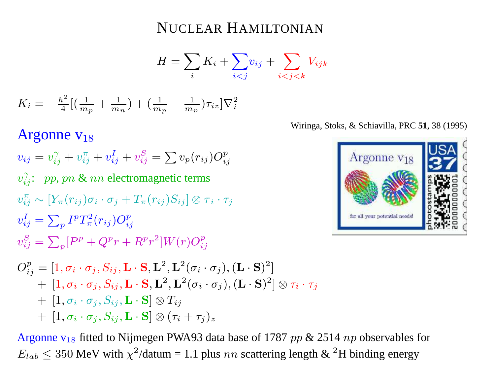#### NUCLEAR HAMILTONIAN

$$
H = \sum_{i} K_i + \sum_{i < j} v_{ij} + \sum_{i < j < k} V_{ijk}
$$

$$
K_i = -\frac{\hbar^2}{4} \left[ \left( \frac{1}{m_p} + \frac{1}{m_n} \right) + \left( \frac{1}{m_p} - \frac{1}{m_n} \right) \tau_{iz} \right] \nabla_i^2
$$

# Argonne  $v_{18}$

 $v_{ij} = v_{ij}^{\gamma} + v_{ij}^{\pi} + v_{ij}^{I} + v_{ij}^{S} = \sum v_p(r_{ij})O_{ij}^{p}$  $v_{ij}^{\gamma}$ : pp, pn & nn electromagnetic terms  $v_{ii}^{\pi} \sim [Y_{\pi}(r_{ij})\sigma_i \cdot \sigma_j + T_{\pi}(r_{ij})S_{ii}] \otimes \tau_i \cdot \tau_j$  $v_{ij}^I = \sum_{p} I^p T_{\pi}^2(r_{ij}) O_{ij}^p$  $v_{ij}^{S} = \sum_{n} [P^{p} + Q^{p}r + R^{p}r^{2}]W(r)O_{ij}^{p}$  $O_{ij}^p = [1, \sigma_i \cdot \sigma_j, S_{ij}, \mathbf{L} \cdot \mathbf{S}, \mathbf{L}^2, \mathbf{L}^2(\sigma_i \cdot \sigma_j), (\mathbf{L} \cdot \mathbf{S})^2]$  $+ \left[1,\sigma_i\cdot\sigma_j,S_{ij},\mathbf{L}\cdot\mathbf{S},\mathbf{L}^2,\mathbf{L}^2(\sigma_i\cdot\sigma_j),(\mathbf{L}\cdot\mathbf{S})^2\right]\otimes\tau_i\cdot\tau_j$ 

$$
+ \hspace{1mm} [1, \sigma_i\cdot \sigma_j, S_{ij}, \mathbf{L}\cdot \mathbf{S}]\otimes T_{ij}
$$

$$
+~\left[1,\sigma_i\cdot\sigma_j,S_{ij},\mathbf{L}\cdot\mathbf{S}\right]\otimes(\tau_i+\tau_j)_z
$$

Argonne  $v_{18}$  fitted to Nijmegen PWA93 data base of 1787 pp & 2514 np observables for  $E_{lab} \leq 350$  MeV with  $\chi^2$ /datum = 1.1 plus nn scattering length & <sup>2</sup>H binding energy

Wiringa, Stoks, & Schiavilla, PRC **51**, 38 (1995)

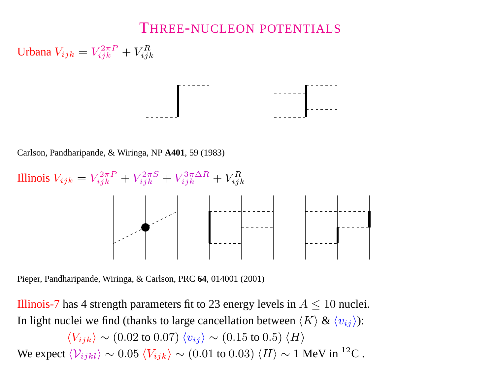#### THREE-NUCLEON POTENTIALS

Urbana  $V_{ijk} = V_{iik}^{2\pi P} + V_{iik}^{R}$ 

Carlson, Pandharipande, & Wiringa, NP **A401**, 59 (1983)

Illinois  $V_{ijk} = V_{ijk}^{2\pi P} + V_{ijk}^{2\pi S} + V_{ijk}^{3\pi \Delta R} + V_{ijk}^{R}$ 

Pieper, Pandharipande, Wiringa, & Carlson, PRC **64**, 014001 (2001)

Illinois-7 has 4 strength parameters fit to 23 energy levels in  $A \leq 10$  nuclei. In light nuclei we find (thanks to large cancellation between  $\langle K \rangle \& \langle v_{ij} \rangle$ ):

 $\langle V_{ijk} \rangle \sim (0.02 \text{ to } 0.07) \langle v_{ij} \rangle \sim (0.15 \text{ to } 0.5) \langle H \rangle$ We expect  $\langle V_{ijkl} \rangle \sim 0.05 \langle V_{ijk} \rangle \sim (0.01 \text{ to } 0.03) \langle H \rangle \sim 1 \text{ MeV in }^{12}\text{C}.$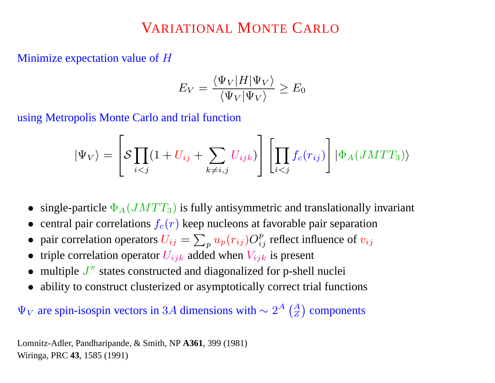# VARIATIONAL MONTE CARLO

Minimize expectation value of <sup>H</sup>

$$
E_V = \frac{\langle \Psi_V | H | \Psi_V \rangle}{\langle \Psi_V | \Psi_V \rangle} \ge E_0
$$

using Metropolis Monte Carlo and trial function

$$
|\Psi_V\rangle = \left[ \mathcal{S} \prod_{i < j} (1 + U_{ij} + \sum_{k \neq i,j} U_{ijk}) \right] \left[ \prod_{i < j} f_c(r_{ij}) \right] |\Phi_A(JMTT_3)\rangle
$$

- single-particle  $\Phi_A(JMTT_3)$  is fully antisymmetric and translationally invariant
- central pair correlations  $f_c(r)$  keep nucleons at favorable pair separation
- pair correlation operators  $U_{ij} = \sum_{p} u_p(r_{ij}) O_{ij}^p$  reflect influence of  $v_{ij}$
- triple correlation operator  $U_{ijk}$  added when  $V_{ijk}$  is present
- multiple  $J^{\pi}$  states constructed and diagonalized for p-shell nuclei
- ability to construct clusterized or asymptotically correct trial functions

 $\Psi_V$  are spin-isospin vectors in 3A dimensions with  $\sim 2^A \left( \frac{A}{Z} \right)$  components

Lomnitz-Adler, Pandharipande, & Smith, NP **A361**, 399 (1981) Wiringa, PRC **43**, 1585 (1991)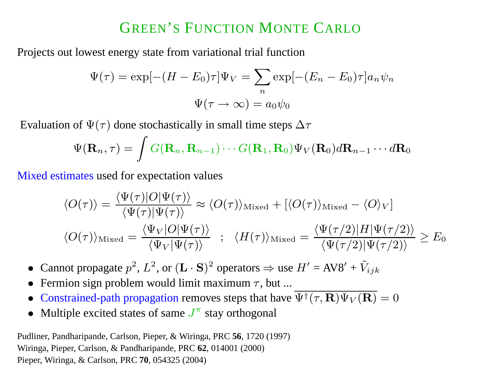# GREEN'S FUNCTION MONTE CARLO

Proofes out lowest energy state from variational trial function

\n
$$
\Psi(\tau) = \exp[-(H - E_0)\tau]\Psi_V = \sum_n \exp[-(E_n - E_0)\tau]a_n \psi_n
$$
\n
$$
\Psi(\tau \to \infty) = a_0 \psi_0
$$

Evaluation of  $\Psi(\tau)$  done stochastically in small time steps  $\Delta \tau$ 

$$
\Psi(\mathbf{R}_n, \tau) = \int G(\mathbf{R}_n, \mathbf{R}_{n-1}) \cdots G(\mathbf{R}_1, \mathbf{R}_0) \Psi_V(\mathbf{R}_0) d\mathbf{R}_{n-1} \cdots d\mathbf{R}_0
$$

Mixed estimates used for expectation values

$$
\langle O(\tau) \rangle = \frac{\langle \Psi(\tau) | O | \Psi(\tau) \rangle}{\langle \Psi(\tau) | \Psi(\tau) \rangle} \approx \langle O(\tau) \rangle_{\text{Mixed}} + [\langle O(\tau) \rangle_{\text{Mixed}} - \langle O \rangle_{V}]
$$
  

$$
\langle O(\tau) \rangle_{\text{Mixed}} = \frac{\langle \Psi_{V} | O | \Psi(\tau) \rangle}{\langle \Psi_{V} | \Psi(\tau) \rangle} ; \quad \langle H(\tau) \rangle_{\text{Mixed}} = \frac{\langle \Psi(\tau/2) | H | \Psi(\tau/2) \rangle}{\langle \Psi(\tau/2) | \Psi(\tau/2) \rangle} \geq E_{0}
$$

- Cannot propagate  $p^2$ ,  $L^2$ , or  $(L \cdot S)^2$  operators  $\Rightarrow$  use  $H' = AV8' + V_{ijk}$
- Fermion sign problem would limit maximum  $\tau$ , but ...
- Constrained-path propagation removes steps that have  $\overline{\Psi^{\dagger}(\tau, \mathbf{R}) \Psi_V(\mathbf{R})} = 0$
- Multiple excited states of same  $J^{\pi}$  stay orthogonal

Pudliner, Pandharipande, Carlson, Pieper, & Wiringa, PRC **56**, 1720 (1997) Wiringa, Pieper, Carlson, & Pandharipande, PRC **62**, 014001 (2000) Pieper, Wiringa, & Carlson, PRC **70**, 054325 (2004)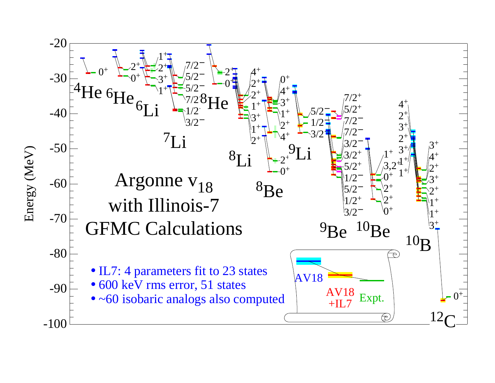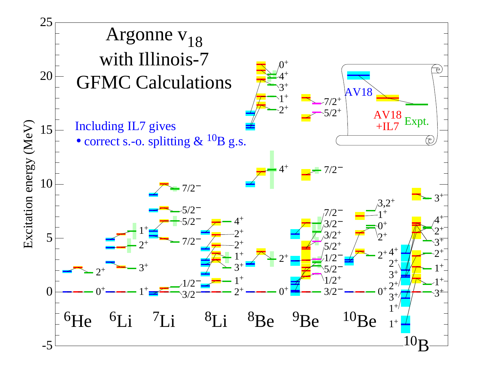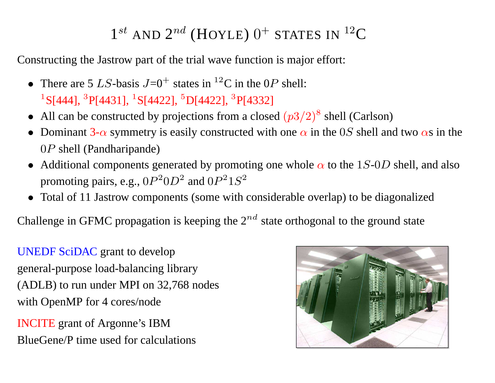# $1^{st}$  AND  $2^{nd}$  (HOYLE)  $0^+$  STATES IN  $^{12}$ C

Constructing the Jastrow par<sup>t</sup> of the trial wave function is major effort:

- There are 5 LS-basis  $J=0^+$  states in <sup>12</sup>C in the 0P shell: <sup>1</sup>S[444], <sup>3</sup>P[4431], <sup>1</sup>S[4422], <sup>5</sup>D[4422], <sup>3</sup>P[4332]
- All can be constructed by projections from a closed  $(p3/2)^8$  shell (Carlson)
- Dominant 3- $\alpha$  symmetry is easily constructed with one  $\alpha$  in the 0S shell and two  $\alpha$ s in the 0P shell (Pandharipande)
- Additional components generated by promoting one whole  $\alpha$  to the 1S-0D shell, and also promoting pairs, e.g.,  $0P^20D^2$  and  $0P^21S^2$
- Total of 11 Jastrow components (some with considerable overlap) to be diagonalized

Challenge in GFMC propagation is keeping the  $2^{nd}$  state orthogonal to the ground state

UNEDF SciDAC gran<sup>t</sup> to develop general-purpose load-balancing library (ADLB) to run under MPI on 32,768 nodes with OpenMP for 4 cores/node

INCITE gran<sup>t</sup> of Argonne's IBM BlueGene/P time used for calculations

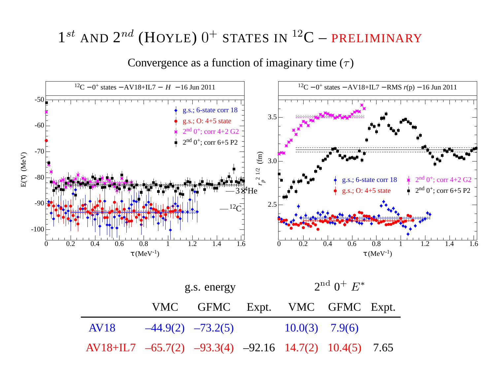# $1^{st}$  AND  $2^{nd}$  (HOYLE)  $0^+$  STATES IN  $^{12}$ C – PRELIMINARY

Convergence as a function of imaginary time  $(\tau)$ 



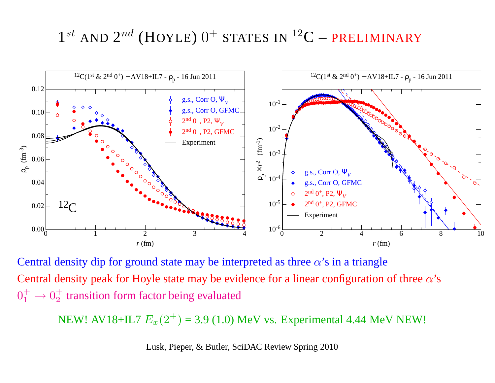# $1^{st}$  AND  $2^{nd}$  (HOYLE)  $0^+$  STATES IN  $^{12}$ C – PRELIMINARY



Central density dip for ground state may be interpreted as three  $\alpha$ 's in a triangle Central density peak for Hoyle state may be evidence for a linear configuration of three  $\alpha$ 's  $0^+_1 \rightarrow 0^+_2$  transition form factor being evaluated

NEW! AV18+IL7  $E_x(2^+)$  = 3.9 (1.0) MeV vs. Experimental 4.44 MeV NEW!

Lusk, Pieper, & Butler, SciDAC Review Spring 2010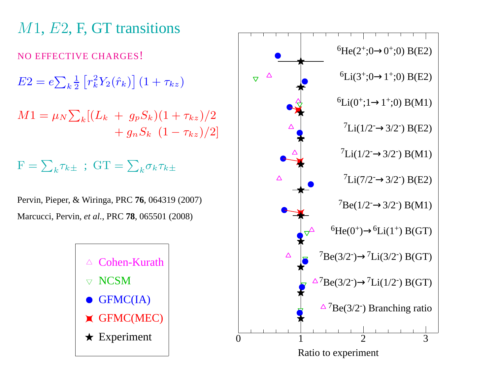



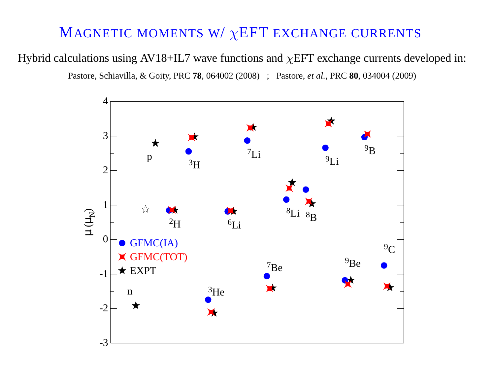### MAGNETIC MOMENTS W/ $\chi$ EFT EXCHANGE CURRENTS

Hybrid calculations using AV18+IL7 wave functions and  $\chi$ EFT exchange currents developed in: Pastore, Schiavilla, & Goity, PRC **78**, 064002 (2008) ; Pastore, *et al.*, PRC **80**, 034004 (2009)

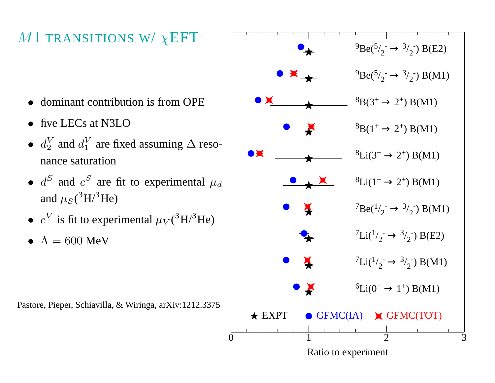# M1 TRANSITIONS W/ $\chi$ EFT

- dominant contribution is from OPE
- five LECs at N3LO
- $d_2^V$  and  $d_1^V$  are fixed assuming  $\Delta$  resonance saturation
- $d^S$  and  $c^S$  are fit to experimental  $\mu_d$ and  $\mu_S(^3\text{H}/^3\text{He})$
- $c^V$  is fit to experimental  $\mu_V(^3\text{H}/^3\text{He})$
- $\Lambda = 600$  MeV

Pastore, Pieper, Schiavilla, & Wiringa, arXiv:1212.3375

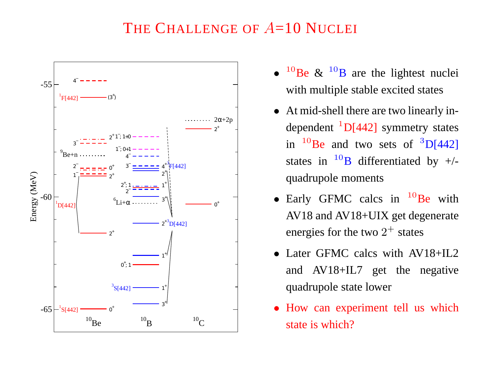#### THE CHALLENGE OF  $A=10$  NUCLEI



- $^{10}$ Be &  $^{10}$ B are the lightest nuclei with multiple stable excited states
- At mid-shell there are two linearly independent  ${}^{1}D[442]$  symmetry states in  $^{10}$ Be and two sets of  $^{3}D[442]$ states in  $^{10}B$  differentiated by  $+/$ quadrupole moments
- Early GFMC calcs in  $^{10}$ Be with AV18 and AV18+UIX ge<sup>t</sup> degenerate energies for the two  $2^+$  states
- Later GFMC calcs with AV18+IL2 and AV18+IL7 ge<sup>t</sup> the negative quadrupole state lower
- How can experiment tell us which state is which?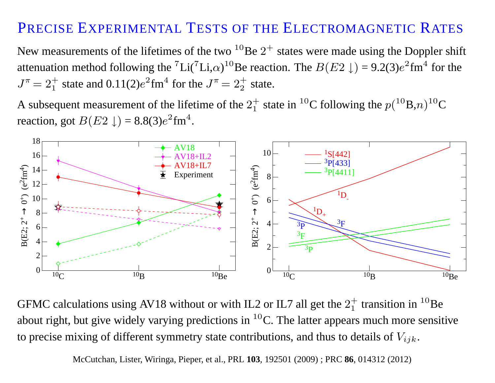### PRECISE EXPERIMENTAL TESTS OF THE ELECTROMAGNETIC RATES

New measurements of the lifetimes of the two <sup>10</sup>Be  $2^+$  states were made using the Doppler shift attenuation method following the <sup>7</sup>Li(<sup>7</sup>Li, $\alpha$ )<sup>10</sup>Be reaction. The  $B(E2 \downarrow) = 9.2(3)e^2$ fm<sup>4</sup> for the  $J^{\pi} = 2_1^+$  state and 0.11(2)e<sup>2</sup>fm<sup>4</sup> for the  $J^{\pi} = 2_2^+$  state.

A subsequent measurement of the lifetime of the  $2^+_1$  state in <sup>10</sup>C following the  $p(^{10}B,n)^{10}C$ reaction, got  $B(E2 \downarrow) = 8.8(3)e^{2}$  fm<sup>4</sup>.



GFMC calculations using AV18 without or with IL2 or IL7 all get the  $2<sup>+</sup><sub>1</sub>$  transition in <sup>10</sup>Be about right, but give widely varying predictions in  ${}^{10}$ C. The latter appears much more sensitive to precise mixing of different symmetry state contributions, and thus to details of  $V_{ijk}$ .

McCutchan, Lister, Wiringa, Pieper, et al., PRL **103**, 192501 (2009) ; PRC **86**, 014312 (2012)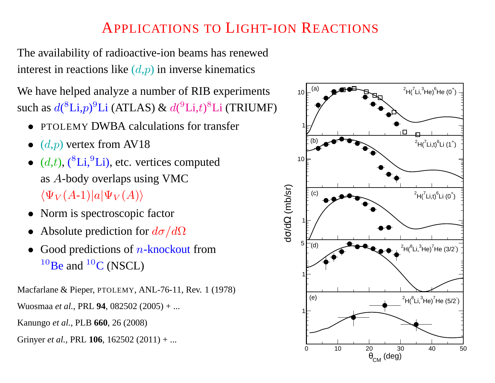### APPLICATIONS TO LIGHT-ION REACTIONS

The availability of radioactive-ion beams has renewed interest in reactions like  $(d,p)$  in inverse kinematics

We have helped analyze <sup>a</sup> number of RIB experiments such as  $d({}^{8}\text{Li},p){}^{9}\text{Li}$  (ATLAS) &  $d({}^{9}\text{Li},t){}^{8}\text{Li}$  (TRIUMF)

- PTOLEMY DWBA calculations for transfer
- $(d,p)$  vertex from AV18
- $\bullet$  (d,t), ( ${}^{8}$ Li, ${}^{9}$ Li), etc. vertices computed as A-body overlaps using VMC  $\langle \Psi_V(A-1)|a|\Psi_V(A)\rangle$
- Norm is spectroscopic factor
- Absolute prediction for  $d\sigma/d\Omega$
- Good predictions of  $n$ -knockout from  $10$ Be and  $10$ C (NSCL)

Macfarlane & Pieper, PTOLEMY, ANL-76-11, Rev. 1 (1978)

Wuosmaa *et al.*, PRL **94**, 082502 (2005) <sup>+</sup> ...

Kanungo *et al.*, PLB **660**, 26 (2008)

Grinyer *et al.*, PRL **106**, 162502 (2011) <sup>+</sup> ...

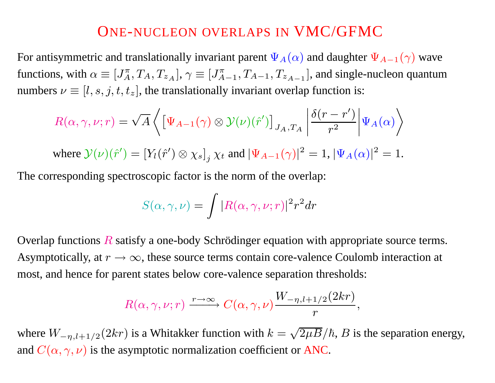#### ONE-NUCLEON OVERLAPS IN VMC/GFMC

For antisymmetric and translationally invariant parent  $\Psi_A(\alpha)$  and daughter  $\Psi_{A-1}(\gamma)$  wave functions, with  $\alpha \equiv [J_A^{\pi}, T_A, T_{z_A}], \gamma \equiv [J_{A-1}^{\pi}, T_{A-1}, T_{z_{A-1}}]$ , and single-nucleon quantum numbers  $\nu \equiv [l,s,j,t,t_z]$ , the translationally invariant overlap function is:

$$
R(\alpha, \gamma, \nu; r) = \sqrt{A} \left\{ \left[ \Psi_{A-1}(\gamma) \otimes \mathcal{Y}(\nu)(\hat{r}') \right]_{J_A, T_A} \left| \frac{\delta(r - r')}{r^2} \right| \Psi_A(\alpha) \right\}
$$

where  $\mathcal{Y}(\nu)(\hat{r}') = [Y_l(\hat{r}') \otimes \chi_s]_i \chi_t$  and  $|\Psi_{A-1}(\gamma)|^2 = 1$ ,  $|\Psi_A(\alpha)|^2 = 1$ .

The corresponding spectroscopic factor is the norm of the overlap:

$$
S(\alpha, \gamma, \nu) = \int |R(\alpha, \gamma, \nu; r)|^2 r^2 dr
$$

Overlap functions  $R$  satisfy a one-body Schrödinger equation with appropriate source terms. Asymptotically, at  $r \to \infty$ , these source terms contain core-valence Coulomb interaction at most, and hence for paren<sup>t</sup> states below core-valence separation thresholds:

$$
R(\alpha,\gamma,\nu;r)\xrightarrow{r\to\infty}C(\alpha,\gamma,\nu)\frac{W_{-\eta,l+1/2}(2kr)}{r},
$$

where  $W_{-\eta, l+1/2}(2kr)$  is a Whitakker function with  $k = \sqrt{2\mu B}/\hbar$ , B is the separation energy, and  $C(\alpha, \gamma, \nu)$  is the asymptotic normalization coefficient or ANC.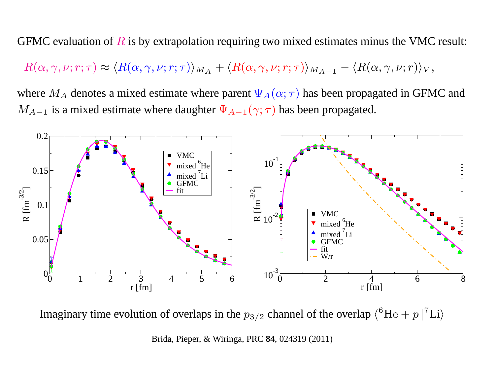GFMC evaluation of  $R$  is by extrapolation requiring two mixed estimates minus the VMC result:

 $R(\alpha, \gamma, \nu; r; \tau) \approx \langle R(\alpha, \gamma, \nu; r; \tau) \rangle_{M_A} + \langle R(\alpha, \gamma, \nu; r; \tau) \rangle_{M_{A-1}} - \langle R(\alpha, \gamma, \nu; r) \rangle_{V},$ 

where  $M_A$  denotes a mixed estimate where parent  $\Psi_A(\alpha; \tau)$  has been propagated in GFMC and  $M_{A-1}$  is a mixed estimate where daughter  $\Psi_{A-1}(\gamma;\tau)$  has been propagated.



Imaginary time evolution of overlaps in the  $p_{3/2}$  channel of the overlap  $\langle^{6}$ He + p  $|^{7}$ Li $\rangle$ 

Brida, Pieper, & Wiringa, PRC **84**, 024319 (2011)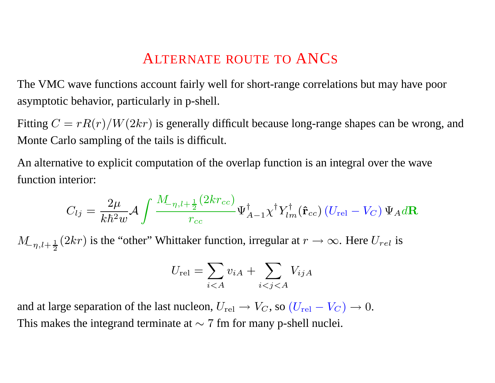### ALTERNATE ROUTE TO ANCS

The VMC wave functions account fairly well for short-range correlations but may have poor asymptotic behavior, particularly in p-shell.

Fitting  $C = rR(r)/W(2kr)$  is generally difficult because long-range shapes can be wrong, and Monte Carlo sampling of the tails is difficult.

An alternative to explicit computation of the overlap function is an integral over the wave function interior:

$$
C_{lj} = \frac{2\mu}{k\hbar^2 w} \mathcal{A} \int \frac{M_{-\eta,l+\frac{1}{2}}(2kr_{cc})}{r_{cc}} \Psi^{\dagger}_{A-1} \chi^{\dagger} Y^{\dagger}_{lm}(\hat{\mathbf{r}}_{cc}) \left(U_{\text{rel}} - V_C\right) \Psi_A d\mathbf{R}
$$

 $M_{-\eta, l+\frac{1}{2}}(2kr)$  is the "other" Whittaker function, irregular at  $r \to \infty$ . Here  $U_{rel}$  is

$$
U_{\text{rel}} = \sum_{i < A} v_{iA} + \sum_{i < j < A} V_{ijA}
$$

and at large separation of the last nucleon,  $U_{rel} \rightarrow V_C$ , so  $(U_{rel} - V_C) \rightarrow 0$ . This makes the integrand terminate at  $\sim$  7 fm for many p-shell nuclei.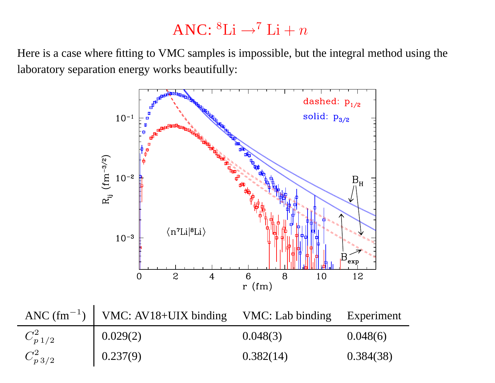# ANC:  ${}^{8}\text{Li} \rightarrow {}^{7}\text{Li} + n$

Here is <sup>a</sup> case where fitting to VMC samples is impossible, but the integral method using the laboratory separation energy works beautifully:



|                  | ANC $(fm^{-1})$   VMC: AV18+UIX binding VMC: Lab binding Experiment |           |           |
|------------------|---------------------------------------------------------------------|-----------|-----------|
| $C_{p \, 1/2}^2$ | 0.029(2)                                                            | 0.048(3)  | 0.048(6)  |
| $C_{p\,3/2}^2$   | 0.237(9)                                                            | 0.382(14) | 0.384(38) |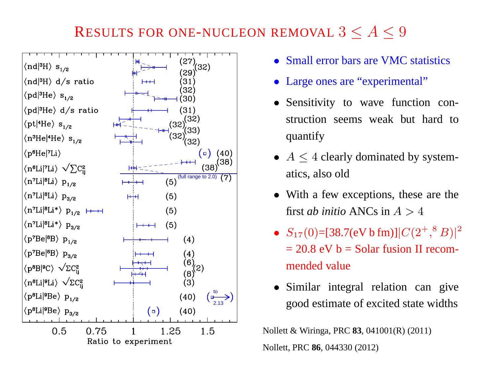# RESULTS FOR ONE-NUCLEON REMOVAL  $3 < A < 9$



- Small error bars are VMC statistics
- Large ones are "experimental"
- Sensitivity to wave function construction seems weak but hard to quantify
- $A \leq 4$  clearly dominated by systematics, also old
- With a few exceptions, these are the first *ab initio* ANCs in  $A > 4$
- $S_{17}(0)$ =[38.7(eV b fm)]| $C(2^{+}, ^{8}B)$ |<sup>2</sup>  $= 20.8$  eV b = Solar fusion II recommended value
- Similar integral relation can give good estimate of excited state widths

Nollett & Wiringa, PRC **83**, 041001(R) (2011) Nollett, PRC **86**, 044330 (2012)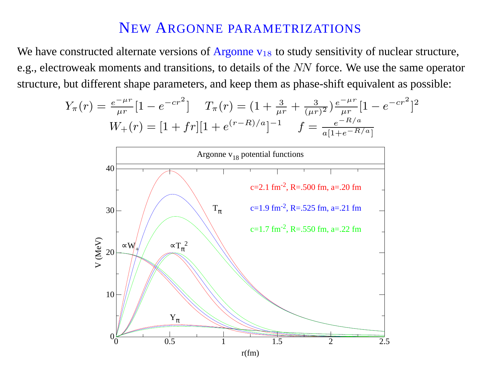We have constructed alternate versions of Argonne  $v_{18}$  to study sensitivity of nuclear structure, e.g., electroweak moments and transitions, to details of the NN force. We use the same operator structure, but different shape parameters, and keep them as phase-shift equivalent as possible:

$$
Y_{\pi}(r) = \frac{e^{-\mu r}}{\mu r} [1 - e^{-cr^2}] \qquad T_{\pi}(r) = (1 + \frac{3}{\mu r} + \frac{3}{(\mu r)^2}) \frac{e^{-\mu r}}{\mu r} [1 - e^{-cr^2}]^2
$$

$$
W_{+}(r) = [1 + fr][1 + e^{(r - R)/a}]^{-1} \qquad f = \frac{e^{-R/a}}{a[1 + e^{-R/a}]}
$$



 $r(fm)$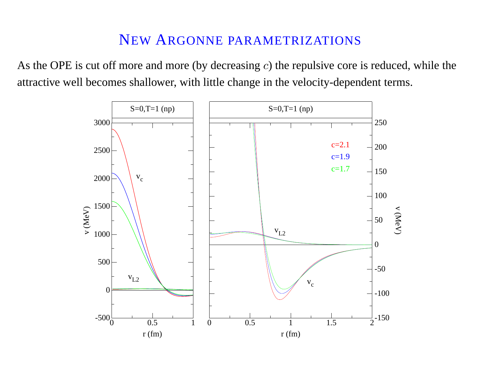As the OPE is cut off more and more (by decreasing  $c$ ) the repulsive core is reduced, while the attractive well becomes shallower, with little change in the velocity-dependent terms.

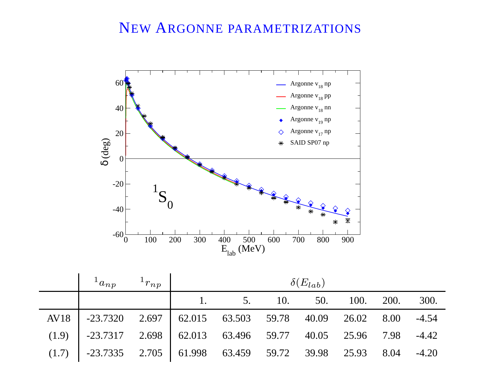

| $1_{a_{np}}$ $1_{r_{np}}$                                             | $\delta(E_{lab})$ |                         |  |  |  |  |      |
|-----------------------------------------------------------------------|-------------------|-------------------------|--|--|--|--|------|
|                                                                       |                   | 1. 5. 10. 50. 100. 200. |  |  |  |  | 300. |
| AV18   -23.7320 2.697   62.015 63.503 59.78 40.09 26.02 8.00 -4.54    |                   |                         |  |  |  |  |      |
| $(1.9)$ -23.7317 2.698 62.013 63.496 59.77 40.05 25.96 7.98 -4.42     |                   |                         |  |  |  |  |      |
| $(1.7)$   -23.7335 2.705   61.998 63.459 59.72 39.98 25.93 8.04 -4.20 |                   |                         |  |  |  |  |      |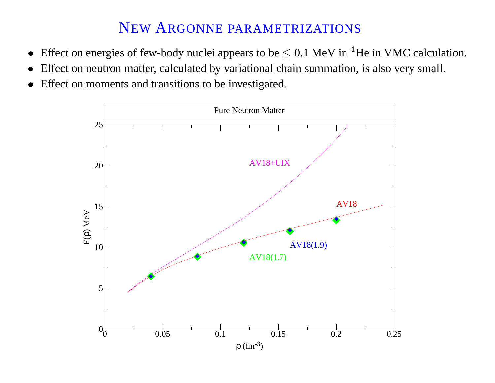- Effect on energies of few-body nuclei appears to be  $\leq 0.1$  MeV in <sup>4</sup>He in VMC calculation.
- Effect on neutron matter, calculated by variational chain summation, is also very small.
- Effect on moments and transitions to be investigated.